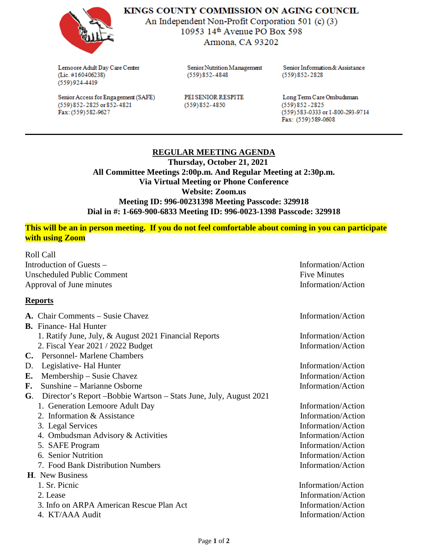

KINGS COUNTY COMMISSION ON AGING COUNCIL

An Independent Non-Profit Corporation 501 (c) (3) 10953 14<sup>th</sup> Avenue PO Box 598 Armona, CA 93202

Lemoore Adult Day Care Center (Lic. #160406238)  $(559)924-4419$ 

Senior Access for Engagement (SAFE)  $(559)$  852-2825 or 852-4821 Fax: (559) 582-9627

Senior Nutrition Management  $(559)852 - 4848$ 

PEI SENIOR RESPITE  $(559)852 - 4850$ 

Senior Information & Assistance  $(559)852 - 2828$ 

Long Term Care Ombudsman  $(559)852 - 2825$ (559) 583-0333 or 1-800-293-9714 Fax: (559) 589-0608

# **REGULAR MEETING AGENDA**

 **Thursday, October 21, 2021 All Committee Meetings 2:00p.m. And Regular Meeting at 2:30p.m. Via Virtual Meeting or Phone Conference Website: Zoom.us Meeting ID: 996-00231398 Meeting Passcode: 329918 Dial in #: 1-669-900-6833 Meeting ID: 996-0023-1398 Passcode: 329918**

### **This will be an in person meeting. If you do not feel comfortable about coming in you can participate with using Zoom**

Roll Call Introduction of Guests – Information/Action Unscheduled Public Comment **Five Minutes** Five Minutes Approval of June minutes Information/Action

#### **Reports**

|    | <b>A.</b> Chair Comments – Susie Chavez                          | Information/Action |
|----|------------------------------------------------------------------|--------------------|
|    | <b>B.</b> Finance- Hal Hunter                                    |                    |
|    | 1. Ratify June, July, & August 2021 Financial Reports            | Information/Action |
|    | 2. Fiscal Year 2021 / 2022 Budget                                | Information/Action |
| C. | <b>Personnel-Marlene Chambers</b>                                |                    |
| D. | Legislative Hal Hunter                                           | Information/Action |
| E. | Membership – Susie Chavez                                        | Information/Action |
| F. | Sunshine – Marianne Osborne                                      | Information/Action |
| G. | Director's Report-Bobbie Wartson – Stats June, July, August 2021 |                    |
|    | 1. Generation Lemoore Adult Day                                  | Information/Action |
|    | 2. Information & Assistance                                      | Information/Action |
|    | 3. Legal Services                                                | Information/Action |
|    | 4. Ombudsman Advisory & Activities                               | Information/Action |
|    | 5. SAFE Program                                                  | Information/Action |
|    | 6. Senior Nutrition                                              | Information/Action |
|    | 7. Food Bank Distribution Numbers                                | Information/Action |
|    | <b>H.</b> New Business                                           |                    |
|    | 1. Sr. Picnic                                                    | Information/Action |
|    | 2. Lease                                                         | Information/Action |
|    | 3. Info on ARPA American Rescue Plan Act                         | Information/Action |
|    | 4. KT/AAA Audit                                                  | Information/Action |